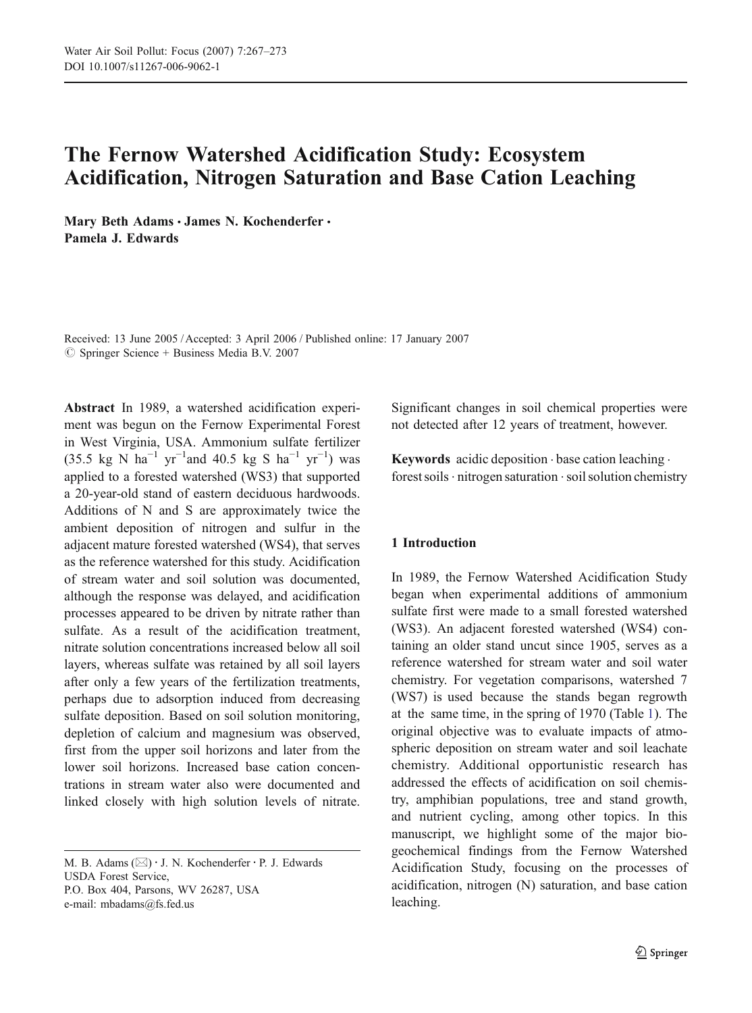# The Fernow Watershed Acidification Study: Ecosystem Acidification, Nitrogen Saturation and Base Cation Leaching

Mary Beth Adams · James N. Kochenderfer · Pamela J. Edwards

Received: 13 June 2005 /Accepted: 3 April 2006 / Published online: 17 January 2007  $\circledcirc$  Springer Science + Business Media B.V. 2007

Abstract In 1989, a watershed acidification experiment was begun on the Fernow Experimental Forest in West Virginia, USA. Ammonium sulfate fertilizer (35.5 kg N ha<sup>-1</sup> yr<sup>-1</sup>and 40.5 kg S ha<sup>-1</sup> yr<sup>-1</sup>) was applied to a forested watershed (WS3) that supported a 20-year-old stand of eastern deciduous hardwoods. Additions of N and S are approximately twice the ambient deposition of nitrogen and sulfur in the adjacent mature forested watershed (WS4), that serves as the reference watershed for this study. Acidification of stream water and soil solution was documented, although the response was delayed, and acidification processes appeared to be driven by nitrate rather than sulfate. As a result of the acidification treatment, nitrate solution concentrations increased below all soil layers, whereas sulfate was retained by all soil layers after only a few years of the fertilization treatments, perhaps due to adsorption induced from decreasing sulfate deposition. Based on soil solution monitoring, depletion of calcium and magnesium was observed, first from the upper soil horizons and later from the lower soil horizons. Increased base cation concentrations in stream water also were documented and linked closely with high solution levels of nitrate.

USDA Forest Service,

P.O. Box 404, Parsons, WV 26287, USA e-mail: mbadams@fs.fed.us

Significant changes in soil chemical properties were not detected after 12 years of treatment, however.

Keywords acidic deposition . base cation leaching . forest soils  $\cdot$  nitrogen saturation  $\cdot$  soil solution chemistry

# 1 Introduction

In 1989, the Fernow Watershed Acidification Study began when experimental additions of ammonium sulfate first were made to a small forested watershed (WS3). An adjacent forested watershed (WS4) containing an older stand uncut since 1905, serves as a reference watershed for stream water and soil water chemistry. For vegetation comparisons, watershed 7 (WS7) is used because the stands began regrowth at the same time, in the spring of 1970 (Table [1](#page-1-0)). The original objective was to evaluate impacts of atmospheric deposition on stream water and soil leachate chemistry. Additional opportunistic research has addressed the effects of acidification on soil chemistry, amphibian populations, tree and stand growth, and nutrient cycling, among other topics. In this manuscript, we highlight some of the major biogeochemical findings from the Fernow Watershed Acidification Study, focusing on the processes of acidification, nitrogen (N) saturation, and base cation leaching.

M. B. Adams  $(\boxtimes) \cdot$  J. N. Kochenderfer  $\cdot$  P. J. Edwards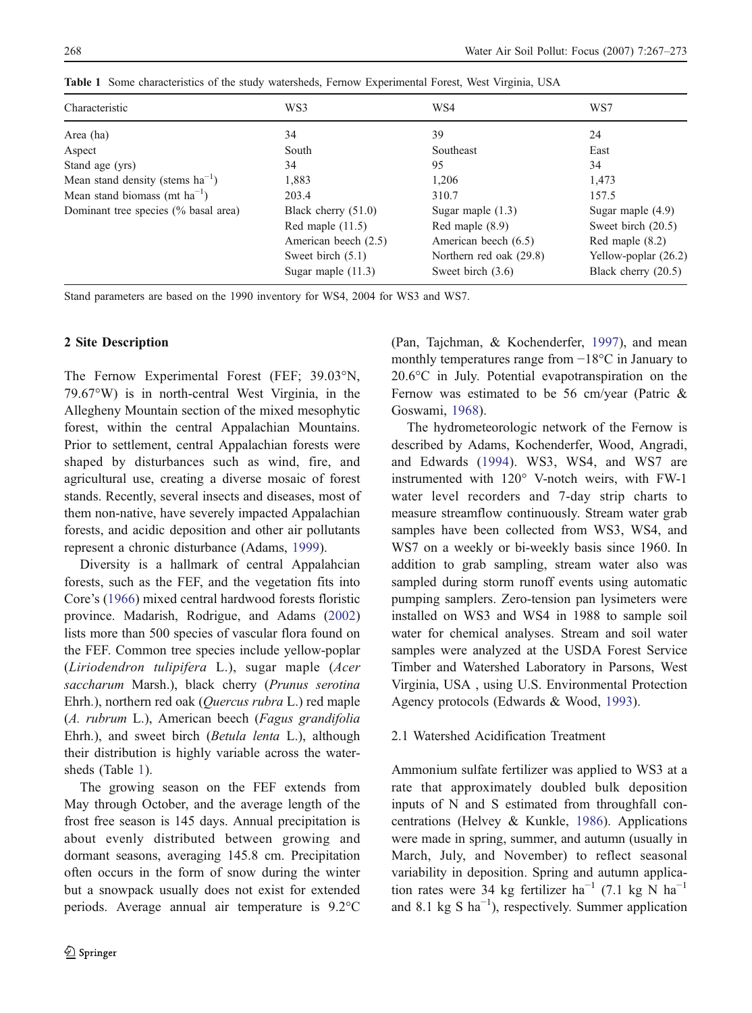| Characteristic                        | WS3                   | WS4                     | WS7                    |
|---------------------------------------|-----------------------|-------------------------|------------------------|
| Area (ha)                             | 34                    | 39                      | 24                     |
| Aspect                                | South                 | Southeast               | East                   |
| Stand age (yrs)                       | 34                    | 95                      | 34                     |
| Mean stand density (stems $ha^{-1}$ ) | 1,883                 | 1,206                   | 1,473                  |
| Mean stand biomass (mt $ha^{-1}$ )    | 203.4                 | 310.7                   | 157.5                  |
| Dominant tree species (% basal area)  | Black cherry $(51.0)$ | Sugar maple $(1.3)$     | Sugar maple $(4.9)$    |
|                                       | Red maple $(11.5)$    | Red maple $(8.9)$       | Sweet birch (20.5)     |
|                                       | American beech (2.5)  | American beech (6.5)    | Red maple $(8.2)$      |
|                                       | Sweet birch $(5.1)$   | Northern red oak (29.8) | Yellow-poplar $(26.2)$ |
|                                       | Sugar maple $(11.3)$  | Sweet birch $(3.6)$     | Black cherry (20.5)    |

<span id="page-1-0"></span>Table 1 Some characteristics of the study watersheds, Fernow Experimental Forest, West Virginia, USA

Stand parameters are based on the 1990 inventory for WS4, 2004 for WS3 and WS7.

# 2 Site Description

The Fernow Experimental Forest (FEF; 39.03°N, 79.67°W) is in north-central West Virginia, in the Allegheny Mountain section of the mixed mesophytic forest, within the central Appalachian Mountains. Prior to settlement, central Appalachian forests were shaped by disturbances such as wind, fire, and agricultural use, creating a diverse mosaic of forest stands. Recently, several insects and diseases, most of them non-native, have severely impacted Appalachian forests, and acidic deposition and other air pollutants represent a chronic disturbance (Adams, [1999](#page-6-0)).

Diversity is a hallmark of central Appalahcian forests, such as the FEF, and the vegetation fits into Core's [\(1966](#page-6-0)) mixed central hardwood forests floristic province. Madarish, Rodrigue, and Adams [\(2002](#page-6-0)) lists more than 500 species of vascular flora found on the FEF. Common tree species include yellow-poplar (Liriodendron tulipifera L.), sugar maple (Acer saccharum Marsh.), black cherry (Prunus serotina Ehrh.), northern red oak (Quercus rubra L.) red maple (A. rubrum L.), American beech (Fagus grandifolia Ehrh.), and sweet birch (Betula lenta L.), although their distribution is highly variable across the watersheds (Table 1).

The growing season on the FEF extends from May through October, and the average length of the frost free season is 145 days. Annual precipitation is about evenly distributed between growing and dormant seasons, averaging 145.8 cm. Precipitation often occurs in the form of snow during the winter but a snowpack usually does not exist for extended periods. Average annual air temperature is 9.2°C (Pan, Tajchman, & Kochenderfer, [1997](#page-6-0)), and mean monthly temperatures range from −18°C in January to 20.6°C in July. Potential evapotranspiration on the Fernow was estimated to be 56 cm/year (Patric & Goswami, [1968](#page-6-0)).

The hydrometeorologic network of the Fernow is described by Adams, Kochenderfer, Wood, Angradi, and Edwards [\(1994](#page-6-0)). WS3, WS4, and WS7 are instrumented with 120° V-notch weirs, with FW-1 water level recorders and 7-day strip charts to measure streamflow continuously. Stream water grab samples have been collected from WS3, WS4, and WS7 on a weekly or bi-weekly basis since 1960. In addition to grab sampling, stream water also was sampled during storm runoff events using automatic pumping samplers. Zero-tension pan lysimeters were installed on WS3 and WS4 in 1988 to sample soil water for chemical analyses. Stream and soil water samples were analyzed at the USDA Forest Service Timber and Watershed Laboratory in Parsons, West Virginia, USA , using U.S. Environmental Protection Agency protocols (Edwards & Wood, [1993](#page-6-0)).

# 2.1 Watershed Acidification Treatment

Ammonium sulfate fertilizer was applied to WS3 at a rate that approximately doubled bulk deposition inputs of N and S estimated from throughfall concentrations (Helvey & Kunkle, [1986](#page-6-0)). Applications were made in spring, summer, and autumn (usually in March, July, and November) to reflect seasonal variability in deposition. Spring and autumn application rates were 34 kg fertilizer ha<sup>-1</sup> (7.1 kg N ha<sup>-1</sup> and 8.1 kg S  $ha^{-1}$ ), respectively. Summer application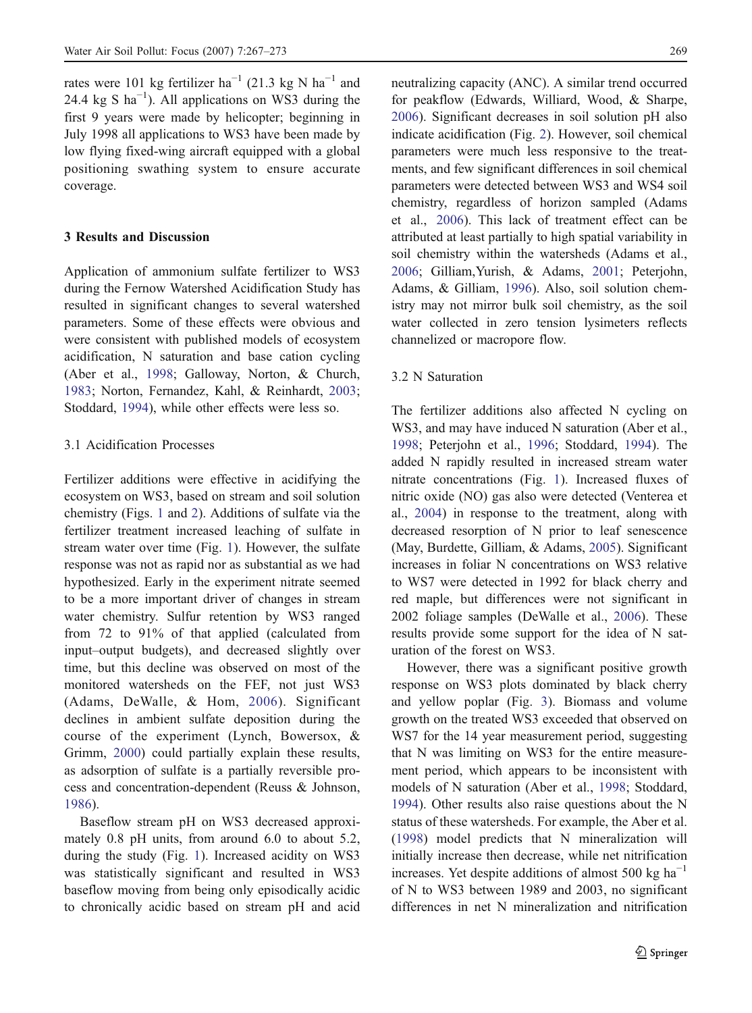rates were 101 kg fertilizer ha<sup>-1</sup> (21.3 kg N ha<sup>-1</sup> and 24.4 kg S  $ha^{-1}$ ). All applications on WS3 during the first 9 years were made by helicopter; beginning in July 1998 all applications to WS3 have been made by low flying fixed-wing aircraft equipped with a global positioning swathing system to ensure accurate coverage.

## 3 Results and Discussion

Application of ammonium sulfate fertilizer to WS3 during the Fernow Watershed Acidification Study has resulted in significant changes to several watershed parameters. Some of these effects were obvious and were consistent with published models of ecosystem acidification, N saturation and base cation cycling (Aber et al., [1998](#page-6-0); Galloway, Norton, & Church, [1983](#page-6-0); Norton, Fernandez, Kahl, & Reinhardt, [2003](#page-6-0); Stoddard, [1994](#page-6-0)), while other effects were less so.

#### 3.1 Acidification Processes

Fertilizer additions were effective in acidifying the ecosystem on WS3, based on stream and soil solution chemistry (Figs. [1](#page-3-0) and [2](#page-4-0)). Additions of sulfate via the fertilizer treatment increased leaching of sulfate in stream water over time (Fig. [1](#page-3-0)). However, the sulfate response was not as rapid nor as substantial as we had hypothesized. Early in the experiment nitrate seemed to be a more important driver of changes in stream water chemistry. Sulfur retention by WS3 ranged from 72 to 91% of that applied (calculated from input–output budgets), and decreased slightly over time, but this decline was observed on most of the monitored watersheds on the FEF, not just WS3 (Adams, DeWalle, & Hom, [2006](#page-6-0)). Significant declines in ambient sulfate deposition during the course of the experiment (Lynch, Bowersox, & Grimm, [2000](#page-6-0)) could partially explain these results, as adsorption of sulfate is a partially reversible process and concentration-dependent (Reuss & Johnson, [1986](#page-6-0)).

Baseflow stream pH on WS3 decreased approximately 0.8 pH units, from around 6.0 to about 5.2, during the study (Fig. [1](#page-3-0)). Increased acidity on WS3 was statistically significant and resulted in WS3 baseflow moving from being only episodically acidic to chronically acidic based on stream pH and acid neutralizing capacity (ANC). A similar trend occurred for peakflow (Edwards, Williard, Wood, & Sharpe, [2006](#page-6-0)). Significant decreases in soil solution pH also indicate acidification (Fig. [2](#page-4-0)). However, soil chemical parameters were much less responsive to the treatments, and few significant differences in soil chemical parameters were detected between WS3 and WS4 soil chemistry, regardless of horizon sampled (Adams et al., [2006](#page-6-0)). This lack of treatment effect can be attributed at least partially to high spatial variability in soil chemistry within the watersheds (Adams et al., [2006](#page-6-0); Gilliam,Yurish, & Adams, [2001](#page-6-0); Peterjohn, Adams, & Gilliam, [1996](#page-6-0)). Also, soil solution chemistry may not mirror bulk soil chemistry, as the soil water collected in zero tension lysimeters reflects channelized or macropore flow.

#### 3.2 N Saturation

The fertilizer additions also affected N cycling on WS3, and may have induced N saturation (Aber et al., [1998](#page-6-0); Peterjohn et al., [1996](#page-6-0); Stoddard, [1994](#page-6-0)). The added N rapidly resulted in increased stream water nitrate concentrations (Fig. [1](#page-3-0)). Increased fluxes of nitric oxide (NO) gas also were detected (Venterea et al., [2004](#page-6-0)) in response to the treatment, along with decreased resorption of N prior to leaf senescence (May, Burdette, Gilliam, & Adams, [2005](#page-6-0)). Significant increases in foliar N concentrations on WS3 relative to WS7 were detected in 1992 for black cherry and red maple, but differences were not significant in 2002 foliage samples (DeWalle et al., [2006](#page-6-0)). These results provide some support for the idea of N saturation of the forest on WS3.

However, there was a significant positive growth response on WS3 plots dominated by black cherry and yellow poplar (Fig. [3](#page-5-0)). Biomass and volume growth on the treated WS3 exceeded that observed on WS7 for the 14 year measurement period, suggesting that N was limiting on WS3 for the entire measurement period, which appears to be inconsistent with models of N saturation (Aber et al., [1998](#page-6-0); Stoddard, [1994](#page-6-0)). Other results also raise questions about the N status of these watersheds. For example, the Aber et al. [\(1998](#page-6-0)) model predicts that N mineralization will initially increase then decrease, while net nitrification increases. Yet despite additions of almost 500 kg ha<sup> $-1$ </sup> of N to WS3 between 1989 and 2003, no significant differences in net N mineralization and nitrification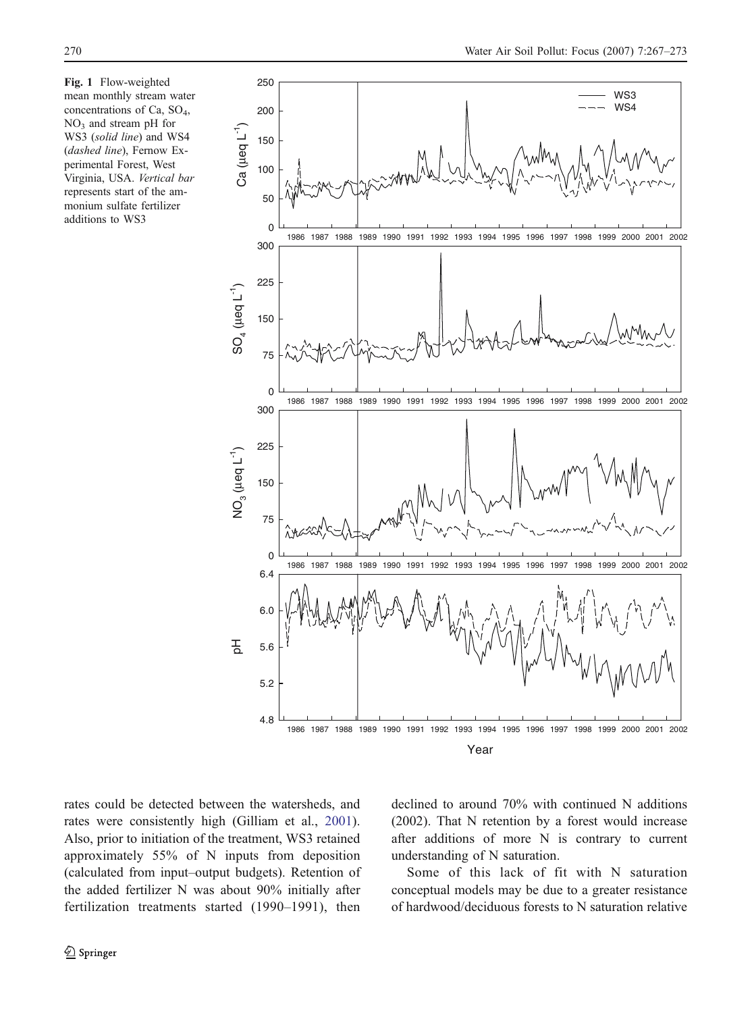<span id="page-3-0"></span>Fig. 1 Flow-weighted mean monthly stream water concentrations of Ca, SO4, NO<sub>3</sub> and stream pH for WS3 (solid line) and WS4 (dashed line), Fernow Experimental Forest, West Virginia, USA. Vertical bar represents start of the ammonium sulfate fertilizer additions to WS3



rates could be detected between the watersheds, and rates were consistently high (Gilliam et al., [2001](#page-6-0)). Also, prior to initiation of the treatment, WS3 retained approximately 55% of N inputs from deposition (calculated from input–output budgets). Retention of the added fertilizer N was about 90% initially after fertilization treatments started (1990–1991), then

declined to around 70% with continued N additions (2002). That N retention by a forest would increase after additions of more N is contrary to current understanding of N saturation.

Some of this lack of fit with N saturation conceptual models may be due to a greater resistance of hardwood/deciduous forests to N saturation relative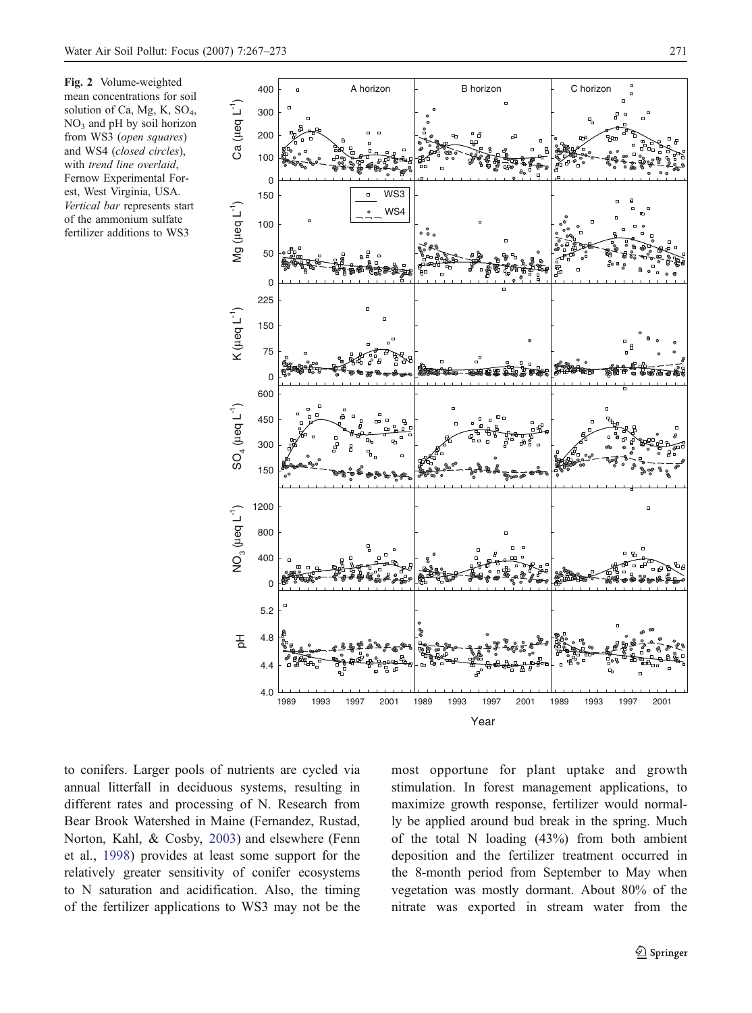<span id="page-4-0"></span>Fig. 2 Volume-weighted mean concentrations for soil solution of Ca, Mg, K, SO4,  $NO<sub>3</sub>$  and pH by soil horizon from WS3 (open squares) and WS4 (closed circles), with trend line overlaid, Fernow Experimental Forest, West Virginia, USA. Vertical bar represents start of the ammonium sulfate fertilizer additions to WS3



to conifers. Larger pools of nutrients are cycled via annual litterfall in deciduous systems, resulting in different rates and processing of N. Research from Bear Brook Watershed in Maine (Fernandez, Rustad, Norton, Kahl, & Cosby, [2003](#page-6-0)) and elsewhere (Fenn et al., [1998](#page-6-0)) provides at least some support for the relatively greater sensitivity of conifer ecosystems to N saturation and acidification. Also, the timing of the fertilizer applications to WS3 may not be the

most opportune for plant uptake and growth stimulation. In forest management applications, to maximize growth response, fertilizer would normally be applied around bud break in the spring. Much of the total N loading (43%) from both ambient deposition and the fertilizer treatment occurred in the 8-month period from September to May when vegetation was mostly dormant. About 80% of the nitrate was exported in stream water from the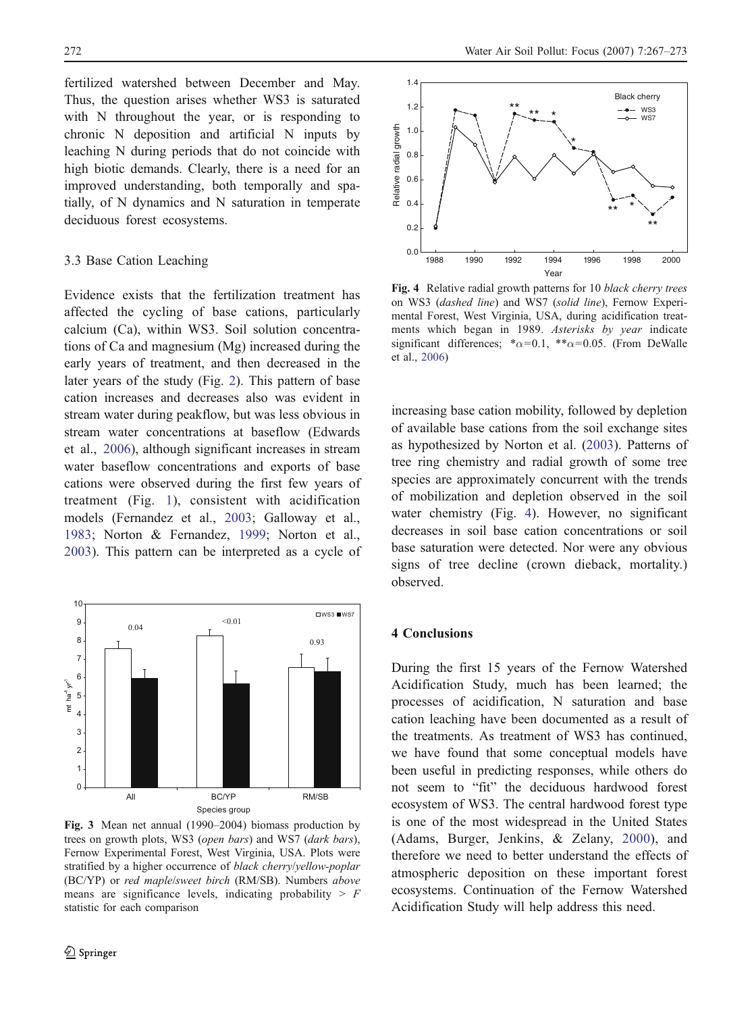<span id="page-5-0"></span>fertilized watershed between December and May. Thus, the question arises whether WS3 is saturated with N throughout the year, or is responding to chronic N deposition and artificial N inputs by leaching N during periods that do not coincide with high biotic demands. Clearly, there is a need for an improved understanding, both temporally and spatially, of N dynamics and N saturation in temperate deciduous forest ecosystems.

## 3.3 Base Cation Leaching

Evidence exists that the fertilization treatment has affected the cycling of base cations, particularly calcium (Ca), within WS3. Soil solution concentrations of Ca and magnesium (Mg) increased during the early years of treatment, and then decreased in the later years of the study (Fig. [2](#page-4-0)). This pattern of base cation increases and decreases also was evident in stream water during peakflow, but was less obvious in stream water concentrations at baseflow (Edwards et al., [2006](#page-6-0)), although significant increases in stream water baseflow concentrations and exports of base cations were observed during the first few years of treatment (Fig. [1](#page-3-0)), consistent with acidification models (Fernandez et al., [2003](#page-6-0); Galloway et al., [1983](#page-6-0); Norton & Fernandez, [1999](#page-6-0); Norton et al., [2003](#page-6-0)). This pattern can be interpreted as a cycle of



Fig. 3 Mean net annual (1990–2004) biomass production by trees on growth plots, WS3 (open bars) and WS7 (dark bars), Fernow Experimental Forest, West Virginia, USA. Plots were stratified by a higher occurrence of black cherry/yellow-poplar (BC/YP) or red maple/sweet birch (RM/SB). Numbers above means are significance levels, indicating probability  $> F$ statistic for each comparison



Fig. 4 Relative radial growth patterns for 10 black cherry trees on WS3 (dashed line) and WS7 (solid line), Fernow Experimental Forest, West Virginia, USA, during acidification treatments which began in 1989. Asterisks by year indicate significant differences; \* $\alpha$ =0.1, \*\* $\alpha$ =0.05. (From DeWalle et al., [2006](#page-6-0))

increasing base cation mobility, followed by depletion of available base cations from the soil exchange sites as hypothesized by Norton et al. [\(2003](#page-6-0)). Patterns of tree ring chemistry and radial growth of some tree species are approximately concurrent with the trends of mobilization and depletion observed in the soil water chemistry (Fig. 4). However, no significant decreases in soil base cation concentrations or soil base saturation were detected. Nor were any obvious signs of tree decline (crown dieback, mortality.) observed.

### 4 Conclusions

During the first 15 years of the Fernow Watershed Acidification Study, much has been learned; the processes of acidification, N saturation and base cation leaching have been documented as a result of the treatments. As treatment of WS3 has continued, we have found that some conceptual models have been useful in predicting responses, while others do not seem to "fit" the deciduous hardwood forest ecosystem of WS3. The central hardwood forest type is one of the most widespread in the United States (Adams, Burger, Jenkins, & Zelany, [2000](#page-6-0)), and therefore we need to better understand the effects of atmospheric deposition on these important forest ecosystems. Continuation of the Fernow Watershed Acidification Study will help address this need.